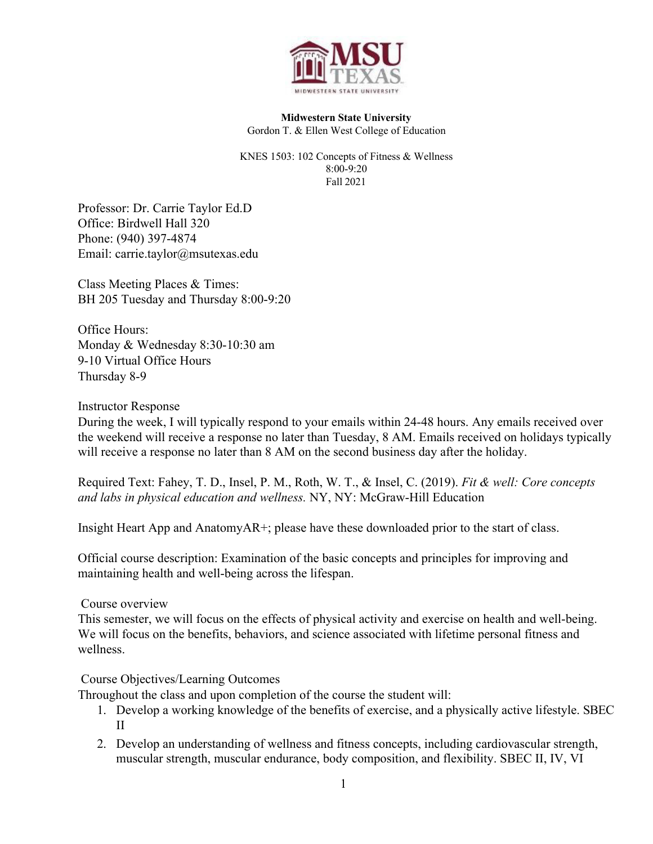

## **Midwestern State University** Gordon T. & Ellen West College of Education

KNES 1503: 102 Concepts of Fitness & Wellness 8:00-9:20 Fall 2021

Professor: Dr. Carrie Taylor Ed.D Office: Birdwell Hall 320 Phone: (940) 397-4874 Email: carrie.taylor@msutexas.edu

Class Meeting Places & Times: BH 205 Tuesday and Thursday 8:00-9:20

Office Hours: Monday & Wednesday 8:30-10:30 am 9-10 Virtual Office Hours Thursday 8-9

Instructor Response

During the week, I will typically respond to your emails within 24-48 hours. Any emails received over the weekend will receive a response no later than Tuesday, 8 AM. Emails received on holidays typically will receive a response no later than 8 AM on the second business day after the holiday.

Required Text: Fahey, T. D., Insel, P. M., Roth, W. T., & Insel, C. (2019). *Fit & well: Core concepts and labs in physical education and wellness.* NY, NY: McGraw-Hill Education

Insight Heart App and AnatomyAR+; please have these downloaded prior to the start of class.

Official course description: Examination of the basic concepts and principles for improving and maintaining health and well-being across the lifespan.

Course overview

This semester, we will focus on the effects of physical activity and exercise on health and well-being. We will focus on the benefits, behaviors, and science associated with lifetime personal fitness and wellness.

## Course Objectives/Learning Outcomes

Throughout the class and upon completion of the course the student will:

- 1. Develop a working knowledge of the benefits of exercise, and a physically active lifestyle. SBEC II
- 2. Develop an understanding of wellness and fitness concepts, including cardiovascular strength, muscular strength, muscular endurance, body composition, and flexibility. SBEC II, IV, VI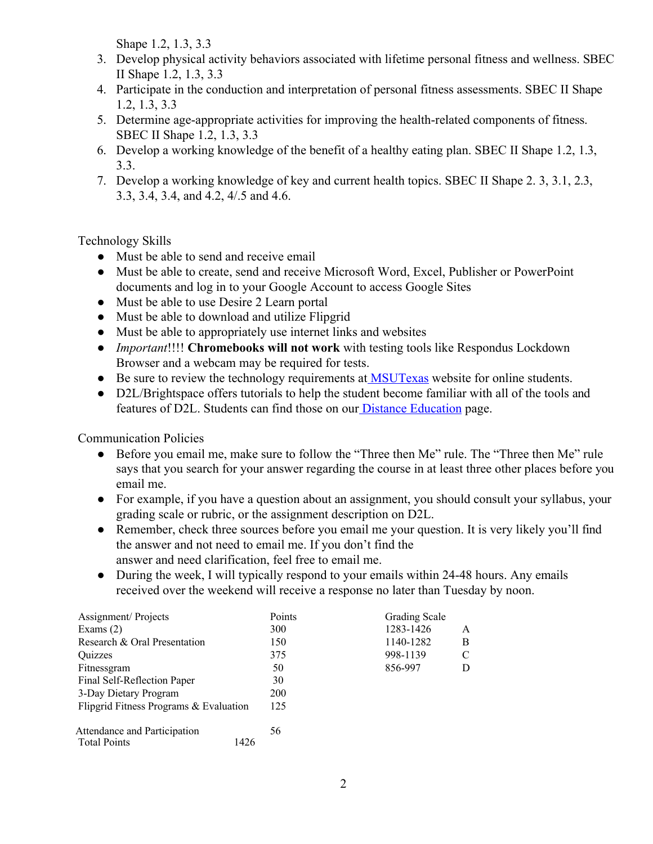Shape 1.2, 1.3, 3.3

- 3. Develop physical activity behaviors associated with lifetime personal fitness and wellness. SBEC II Shape 1.2, 1.3, 3.3
- 4. Participate in the conduction and interpretation of personal fitness assessments. SBEC II Shape 1.2, 1.3, 3.3
- 5. Determine age-appropriate activities for improving the health-related components of fitness. SBEC II Shape 1.2, 1.3, 3.3
- 6. Develop a working knowledge of the benefit of a healthy eating plan. SBEC II Shape 1.2, 1.3, 3.3.
- 7. Develop a working knowledge of key and current health topics. SBEC II Shape 2. 3, 3.1, 2.3, 3.3, 3.4, 3.4, and 4.2, 4/.5 and 4.6.

# Technology Skills

- Must be able to send and receive email
- Must be able to create, send and receive Microsoft Word, Excel, Publisher or PowerPoint documents and log in to your Google Account to access Google Sites
- Must be able to use Desire 2 Learn portal
- Must be able to download and utilize Flipgrid
- Must be able to appropriately use internet links and websites
- *Important*!!!! **Chromebooks will not work** with testing tools like Respondus Lockdown Browser and a webcam may be required for tests.
- Be sure to review the technology requirements at MSUTexas website for online students.
- D2L/Brightspace offers tutorials to help the student become familiar with all of the tools and features of D2L. Students can find those on our **Distance Education** page.

Communication Policies

- Before you email me, make sure to follow the "Three then Me" rule. The "Three then Me" rule says that you search for your answer regarding the course in at least three other places before you email me.
- For example, if you have a question about an assignment, you should consult your syllabus, your grading scale or rubric, or the assignment description on D2L.
- Remember, check three sources before you email me your question. It is very likely you'll find the answer and not need to email me. If you don't find the answer and need clarification, feel free to email me.
- During the week, I will typically respond to your emails within 24-48 hours. Any emails received over the weekend will receive a response no later than Tuesday by noon.

| Assignment/Projects                                 | Points     | Grading Scale |   |
|-----------------------------------------------------|------------|---------------|---|
| Exams $(2)$                                         | 300        | 1283-1426     | A |
| Research & Oral Presentation                        | 150        | 1140-1282     | B |
| <b>Ouizzes</b>                                      | 375        | 998-1139      | C |
| Fitnessgram                                         | 50         | 856-997       | D |
| Final Self-Reflection Paper                         | 30         |               |   |
| 3-Day Dietary Program                               | 200        |               |   |
| Flipgrid Fitness Programs & Evaluation              | 125        |               |   |
| Attendance and Participation<br><b>Total Points</b> | 56<br>1426 |               |   |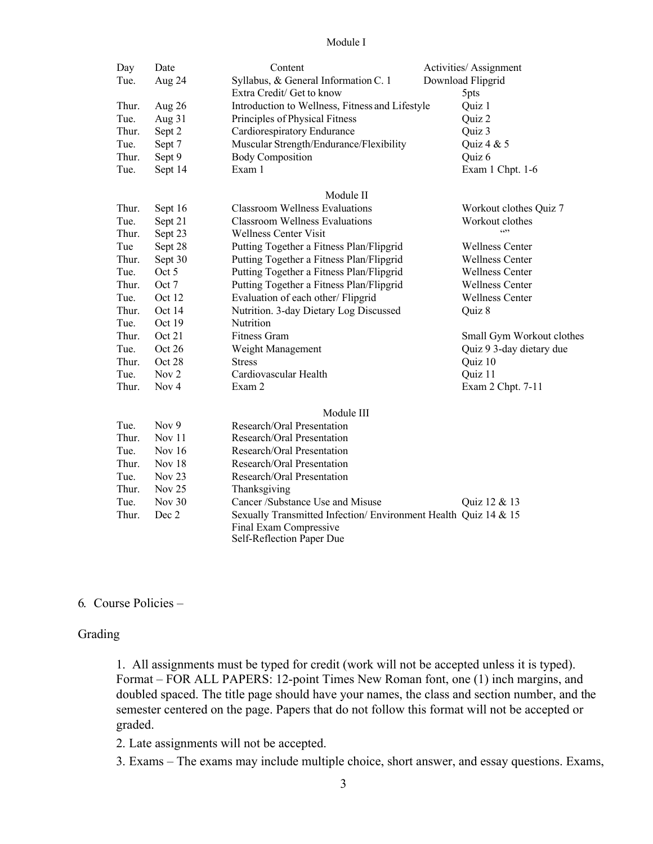Module I

| Day   | Date             | Content                                                         | Activities/ Assignment    |
|-------|------------------|-----------------------------------------------------------------|---------------------------|
| Tue.  | Aug 24           | Syllabus, & General Information C. 1                            | Download Flipgrid         |
|       |                  | Extra Credit/ Get to know                                       | 5pts                      |
| Thur. | Aug $26$         | Introduction to Wellness, Fitness and Lifestyle                 | Quiz 1                    |
| Tue.  | Aug 31           | Principles of Physical Fitness                                  | Quiz 2                    |
| Thur. | Sept 2           | Cardiorespiratory Endurance                                     | Quiz 3                    |
| Tue.  | Sept 7           | Muscular Strength/Endurance/Flexibility                         | Quiz 4 & 5                |
| Thur. | Sept 9           | <b>Body Composition</b>                                         | Quiz 6                    |
| Tue.  | Sept 14          | Exam 1                                                          | Exam 1 Chpt. 1-6          |
|       |                  | Module II                                                       |                           |
| Thur. | Sept 16          | <b>Classroom Wellness Evaluations</b>                           | Workout clothes Quiz 7    |
| Tue.  | Sept 21          | Classroom Wellness Evaluations                                  | Workout clothes           |
| Thur. | Sept 23          | <b>Wellness Center Visit</b>                                    | $\epsilon$                |
| Tue   | Sept 28          | Putting Together a Fitness Plan/Flipgrid                        | <b>Wellness Center</b>    |
| Thur. | Sept 30          | Putting Together a Fitness Plan/Flipgrid                        | <b>Wellness Center</b>    |
| Tue.  | Oct 5            | Putting Together a Fitness Plan/Flipgrid                        | <b>Wellness Center</b>    |
| Thur. | Oct 7            | Putting Together a Fitness Plan/Flipgrid                        | <b>Wellness Center</b>    |
| Tue.  | Oct 12           | Evaluation of each other/ Flipgrid                              | <b>Wellness Center</b>    |
| Thur. | Oct 14           | Nutrition. 3-day Dietary Log Discussed                          | Quiz 8                    |
| Tue.  | Oct 19           | Nutrition                                                       |                           |
| Thur. | Oct 21           | Fitness Gram                                                    | Small Gym Workout clothes |
| Tue.  | Oct 26           | Weight Management                                               | Quiz 9 3-day dietary due  |
| Thur. | Oct 28           | <b>Stress</b>                                                   | Quiz 10                   |
| Tue.  | Nov <sub>2</sub> | Cardiovascular Health                                           | Quiz 11                   |
| Thur. | Nov $4$          | Exam 2                                                          | Exam 2 Chpt. 7-11         |
|       |                  | Module III                                                      |                           |
| Tue.  | Nov 9            | Research/Oral Presentation                                      |                           |
| Thur. | Nov $11$         | Research/Oral Presentation                                      |                           |
| Tue.  | Nov $16$         | Research/Oral Presentation                                      |                           |
| Thur. | Nov 18           | Research/Oral Presentation                                      |                           |
| Tue.  | Nov $23$         | Research/Oral Presentation                                      |                           |
| Thur. | Nov 25           | Thanksgiving                                                    |                           |
| Tue.  | Nov $30$         | Cancer /Substance Use and Misuse                                | Quiz 12 & 13              |
| Thur. | Dec 2            | Sexually Transmitted Infection/ Environment Health Quiz 14 & 15 |                           |
|       |                  | Final Exam Compressive<br>Self-Reflection Paper Due             |                           |

## 6. Course Policies –

## Grading

1. All assignments must be typed for credit (work will not be accepted unless it is typed). Format – FOR ALL PAPERS: 12-point Times New Roman font, one (1) inch margins, and doubled spaced. The title page should have your names, the class and section number, and the semester centered on the page. Papers that do not follow this format will not be accepted or graded.

2. Late assignments will not be accepted.

3. Exams – The exams may include multiple choice, short answer, and essay questions. Exams,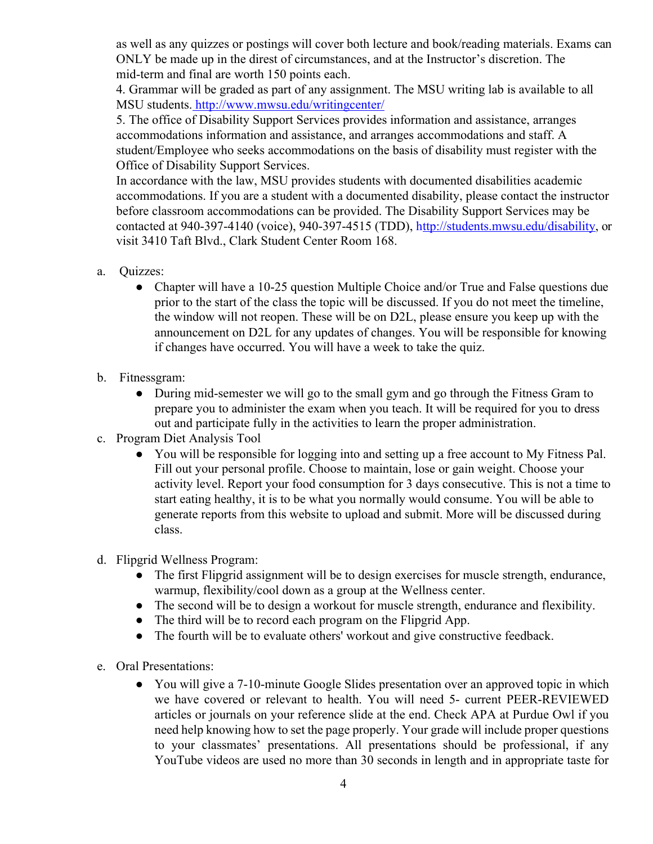as well as any quizzes or postings will cover both lecture and book/reading materials. Exams can ONLY be made up in the direst of circumstances, and at the Instructor's discretion. The mid-term and final are worth 150 points each.

4. Grammar will be graded as part of any assignment. The MSU writing lab is available to all MSU students. http://www.mwsu.edu/writingcenter/

5. The office of Disability Support Services provides information and assistance, arranges accommodations information and assistance, and arranges accommodations and staff. A student/Employee who seeks accommodations on the basis of disability must register with the Office of Disability Support Services.

In accordance with the law, MSU provides students with documented disabilities academic accommodations. If you are a student with a documented disability, please contact the instructor before classroom accommodations can be provided. The Disability Support Services may be contacted at 940-397-4140 (voice), 940-397-4515 (TDD), http://students.mwsu.edu/disability, or visit 3410 Taft Blvd., Clark Student Center Room 168.

- a. Quizzes:
	- Chapter will have a 10-25 question Multiple Choice and/or True and False questions due prior to the start of the class the topic will be discussed. If you do not meet the timeline, the window will not reopen. These will be on D2L, please ensure you keep up with the announcement on D2L for any updates of changes. You will be responsible for knowing if changes have occurred. You will have a week to take the quiz.
- b. Fitnessgram:
	- During mid-semester we will go to the small gym and go through the Fitness Gram to prepare you to administer the exam when you teach. It will be required for you to dress out and participate fully in the activities to learn the proper administration.
- c. Program Diet Analysis Tool
	- You will be responsible for logging into and setting up a free account to My Fitness Pal. Fill out your personal profile. Choose to maintain, lose or gain weight. Choose your activity level. Report your food consumption for 3 days consecutive. This is not a time to start eating healthy, it is to be what you normally would consume. You will be able to generate reports from this website to upload and submit. More will be discussed during class.
- d. Flipgrid Wellness Program:
	- The first Flipgrid assignment will be to design exercises for muscle strength, endurance, warmup, flexibility/cool down as a group at the Wellness center.
	- The second will be to design a workout for muscle strength, endurance and flexibility.
	- The third will be to record each program on the Flipgrid App.
	- The fourth will be to evaluate others' workout and give constructive feedback.
- e. Oral Presentations:
	- You will give a 7-10-minute Google Slides presentation over an approved topic in which we have covered or relevant to health. You will need 5- current PEER-REVIEWED articles or journals on your reference slide at the end. Check APA at Purdue Owl if you need help knowing how to set the page properly. Your grade will include proper questions to your classmates' presentations. All presentations should be professional, if any YouTube videos are used no more than 30 seconds in length and in appropriate taste for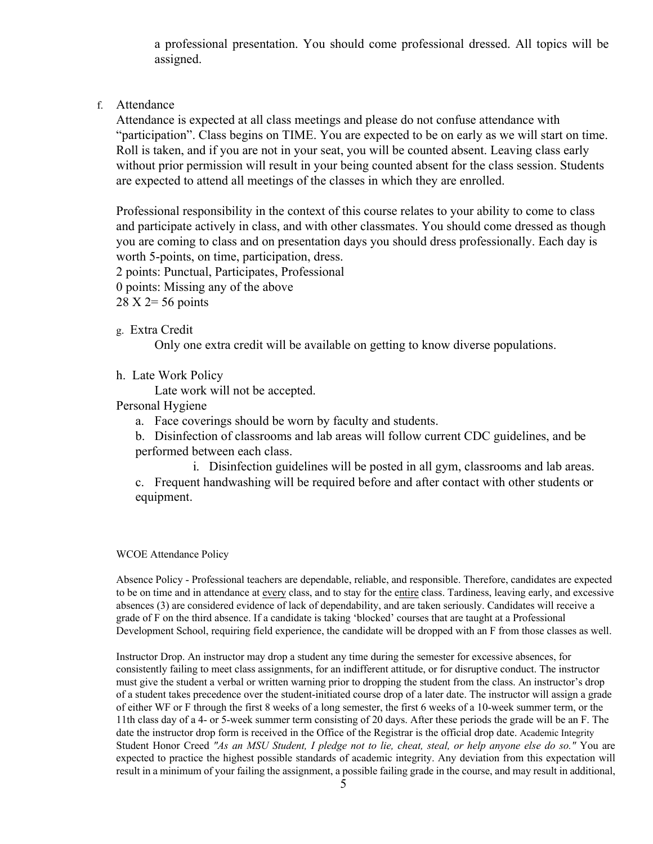a professional presentation. You should come professional dressed. All topics will be assigned.

f. Attendance

Attendance is expected at all class meetings and please do not confuse attendance with "participation". Class begins on TIME. You are expected to be on early as we will start on time. Roll is taken, and if you are not in your seat, you will be counted absent. Leaving class early without prior permission will result in your being counted absent for the class session. Students are expected to attend all meetings of the classes in which they are enrolled.

Professional responsibility in the context of this course relates to your ability to come to class and participate actively in class, and with other classmates. You should come dressed as though you are coming to class and on presentation days you should dress professionally. Each day is worth 5-points, on time, participation, dress.

2 points: Punctual, Participates, Professional

0 points: Missing any of the above

28 X 2= 56 points

g. Extra Credit

Only one extra credit will be available on getting to know diverse populations.

h. Late Work Policy

Late work will not be accepted.

## Personal Hygiene

a. Face coverings should be worn by faculty and students.

b. Disinfection of classrooms and lab areas will follow current CDC guidelines, and be performed between each class.

i. Disinfection guidelines will be posted in all gym, classrooms and lab areas. c. Frequent handwashing will be required before and after contact with other students or equipment.

### WCOE Attendance Policy

Absence Policy - Professional teachers are dependable, reliable, and responsible. Therefore, candidates are expected to be on time and in attendance at every class, and to stay for the entire class. Tardiness, leaving early, and excessive absences (3) are considered evidence of lack of dependability, and are taken seriously. Candidates will receive a grade of F on the third absence. If a candidate is taking 'blocked' courses that are taught at a Professional Development School, requiring field experience, the candidate will be dropped with an F from those classes as well.

Instructor Drop. An instructor may drop a student any time during the semester for excessive absences, for consistently failing to meet class assignments, for an indifferent attitude, or for disruptive conduct. The instructor must give the student a verbal or written warning prior to dropping the student from the class. An instructor's drop of a student takes precedence over the student-initiated course drop of a later date. The instructor will assign a grade of either WF or F through the first 8 weeks of a long semester, the first 6 weeks of a 10-week summer term, or the 11th class day of a 4- or 5-week summer term consisting of 20 days. After these periods the grade will be an F. The date the instructor drop form is received in the Office of the Registrar is the official drop date. Academic Integrity Student Honor Creed *"As an MSU Student, I pledge not to lie, cheat, steal, or help anyone else do so."* You are expected to practice the highest possible standards of academic integrity. Any deviation from this expectation will result in a minimum of your failing the assignment, a possible failing grade in the course, and may result in additional,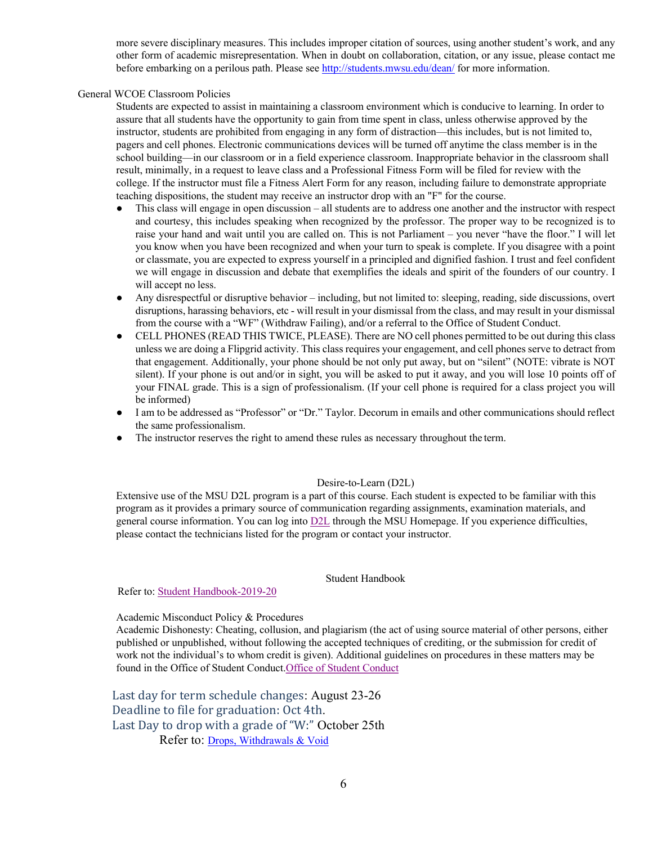more severe disciplinary measures. This includes improper citation of sources, using another student's work, and any other form of academic misrepresentation. When in doubt on collaboration, citation, or any issue, please contact me before embarking on a perilous path. Please see http://students.mwsu.edu/dean/ for more information.

#### General WCOE Classroom Policies

Students are expected to assist in maintaining a classroom environment which is conducive to learning. In order to assure that all students have the opportunity to gain from time spent in class, unless otherwise approved by the instructor, students are prohibited from engaging in any form of distraction—this includes, but is not limited to, pagers and cell phones. Electronic communications devices will be turned off anytime the class member is in the school building—in our classroom or in a field experience classroom. Inappropriate behavior in the classroom shall result, minimally, in a request to leave class and a Professional Fitness Form will be filed for review with the college. If the instructor must file a Fitness Alert Form for any reason, including failure to demonstrate appropriate teaching dispositions, the student may receive an instructor drop with an "F" for the course.

- This class will engage in open discussion all students are to address one another and the instructor with respect and courtesy, this includes speaking when recognized by the professor. The proper way to be recognized is to raise your hand and wait until you are called on. This is not Parliament – you never "have the floor." I will let you know when you have been recognized and when your turn to speak is complete. If you disagree with a point or classmate, you are expected to express yourself in a principled and dignified fashion. I trust and feel confident we will engage in discussion and debate that exemplifies the ideals and spirit of the founders of our country. I will accept no less.
- Any disrespectful or disruptive behavior including, but not limited to: sleeping, reading, side discussions, overt disruptions, harassing behaviors, etc - will result in your dismissal from the class, and may result in your dismissal from the course with a "WF" (Withdraw Failing), and/or a referral to the Office of Student Conduct.
- CELL PHONES (READ THIS TWICE, PLEASE). There are NO cell phones permitted to be out during this class unless we are doing a Flipgrid activity. This class requires your engagement, and cell phones serve to detract from that engagement. Additionally, your phone should be not only put away, but on "silent" (NOTE: vibrate is NOT silent). If your phone is out and/or in sight, you will be asked to put it away, and you will lose 10 points off of your FINAL grade. This is a sign of professionalism. (If your cell phone is required for a class project you will be informed)
- I am to be addressed as "Professor" or "Dr." Taylor. Decorum in emails and other communications should reflect the same professionalism.
- The instructor reserves the right to amend these rules as necessary throughout the term.

### Desire-to-Learn (D2L)

Extensive use of the MSU D2L program is a part of this course. Each student is expected to be familiar with this program as it provides a primary source of communication regarding assignments, examination materials, and general course information. You can log into D2L through the MSU Homepage. If you experience difficulties, please contact the technicians listed for the program or contact your instructor.

#### Student Handbook

#### Refer to: Student Handbook-2019-20

Academic Misconduct Policy & Procedures

Academic Dishonesty: Cheating, collusion, and plagiarism (the act of using source material of other persons, either published or unpublished, without following the accepted techniques of crediting, or the submission for credit of work not the individual's to whom credit is given). Additional guidelines on procedures in these matters may be found in the Office of Student Conduct.Office of Student Conduct

Last day for term schedule changes: August 23-26 Deadline to file for graduation: Oct 4th. Last Day to drop with a grade of "W:" October 25th Refer to: Drops, Withdrawals & Void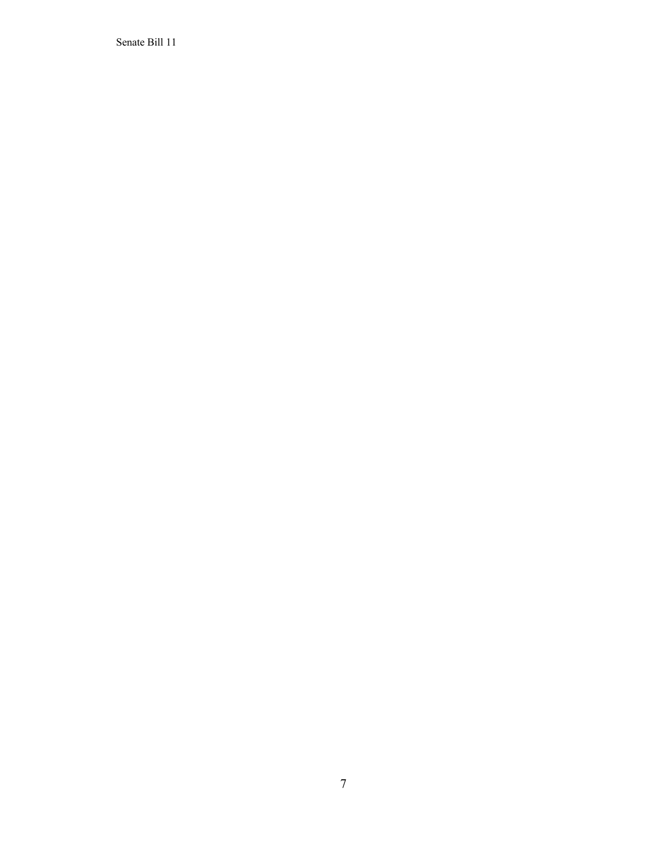Senate Bill 11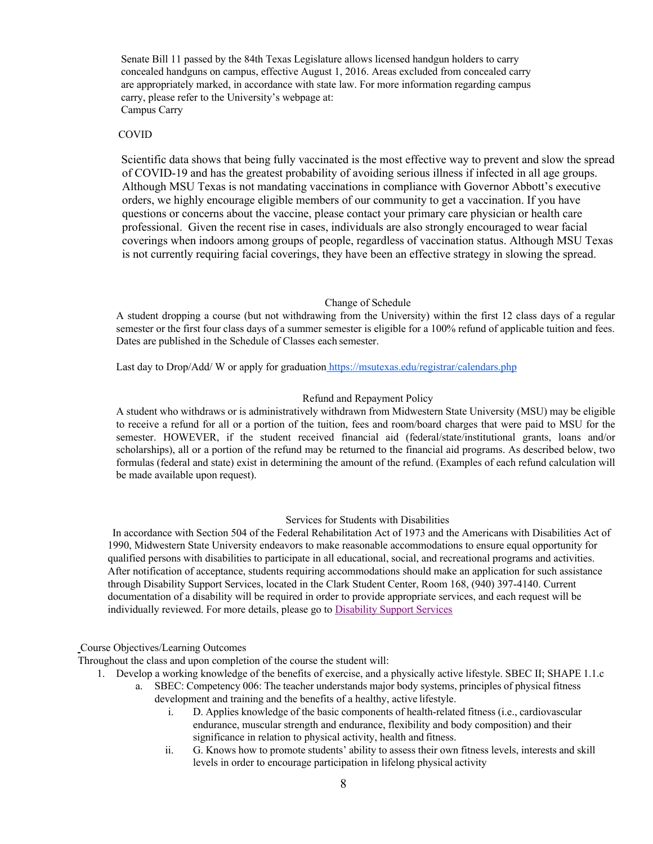Senate Bill 11 passed by the 84th Texas Legislature allows licensed handgun holders to carry concealed handguns on campus, effective August 1, 2016. Areas excluded from concealed carry are appropriately marked, in accordance with state law. For more information regarding campus carry, please refer to the University's webpage at: Campus Carry

#### COVID

 Scientific data shows that being fully vaccinated is the most effective way to prevent and slow the spread of COVID-19 and has the greatest probability of avoiding serious illness if infected in all age groups. Although MSU Texas is not mandating vaccinations in compliance with Governor Abbott's executive orders, we highly encourage eligible members of our community to get a vaccination. If you have questions or concerns about the vaccine, please contact your primary care physician or health care professional. Given the recent rise in cases, individuals are also strongly encouraged to wear facial coverings when indoors among groups of people, regardless of vaccination status. Although MSU Texas is not currently requiring facial coverings, they have been an effective strategy in slowing the spread.

Change of Schedule

A student dropping a course (but not withdrawing from the University) within the first 12 class days of a regular semester or the first four class days of a summer semester is eligible for a 100% refund of applicable tuition and fees. Dates are published in the Schedule of Classes each semester.

Last day to Drop/Add/ W or apply for graduation https://msutexas.edu/registrar/calendars.php

#### Refund and Repayment Policy

A student who withdraws or is administratively withdrawn from Midwestern State University (MSU) may be eligible to receive a refund for all or a portion of the tuition, fees and room/board charges that were paid to MSU for the semester. HOWEVER, if the student received financial aid (federal/state/institutional grants, loans and/or scholarships), all or a portion of the refund may be returned to the financial aid programs. As described below, two formulas (federal and state) exist in determining the amount of the refund. (Examples of each refund calculation will be made available upon request).

#### Services for Students with Disabilities

In accordance with Section 504 of the Federal Rehabilitation Act of 1973 and the Americans with Disabilities Act of 1990, Midwestern State University endeavors to make reasonable accommodations to ensure equal opportunity for qualified persons with disabilities to participate in all educational, social, and recreational programs and activities. After notification of acceptance, students requiring accommodations should make an application for such assistance through Disability Support Services, located in the Clark Student Center, Room 168, (940) 397-4140. Current documentation of a disability will be required in order to provide appropriate services, and each request will be individually reviewed. For more details, please go to **Disability Support Services** 

#### Course Objectives/Learning Outcomes

Throughout the class and upon completion of the course the student will:

- 1. Develop a working knowledge of the benefits of exercise, and a physically active lifestyle. SBEC II; SHAPE 1.1.c
	- a. SBEC: Competency 006: The teacher understands major body systems, principles of physical fitness development and training and the benefits of a healthy, active lifestyle.
		- i. D. Applies knowledge of the basic components of health-related fitness (i.e., cardiovascular endurance, muscular strength and endurance, flexibility and body composition) and their significance in relation to physical activity, health and fitness.
		- ii. G. Knows how to promote students' ability to assess their own fitness levels, interests and skill levels in order to encourage participation in lifelong physical activity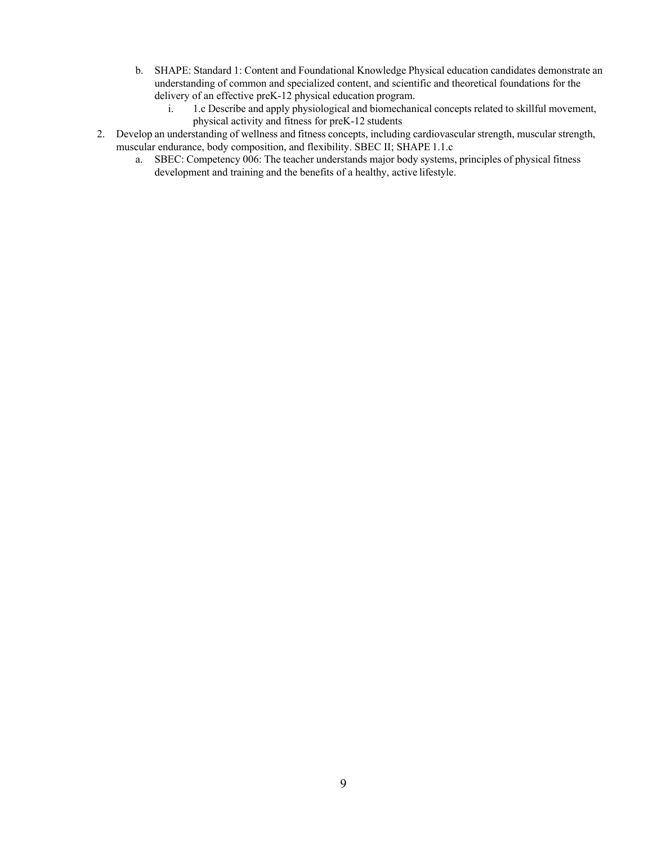- b. SHAPE: Standard 1: Content and Foundational Knowledge Physical education candidates demonstrate an understanding of common and specialized content, and scientific and theoretical foundations for the delivery of an effective preK-12 physical education program.
	- i. 1.c Describe and apply physiological and biomechanical concepts related to skillful movement, physical activity and fitness for preK-12 students
- 2. Develop an understanding of wellness and fitness concepts, including cardiovascular strength, muscular strength, muscular endurance, body composition, and flexibility. SBEC II; SHAPE 1.1.c
	- a. SBEC: Competency 006: The teacher understands major body systems, principles of physical fitness development and training and the benefits of a healthy, active lifestyle.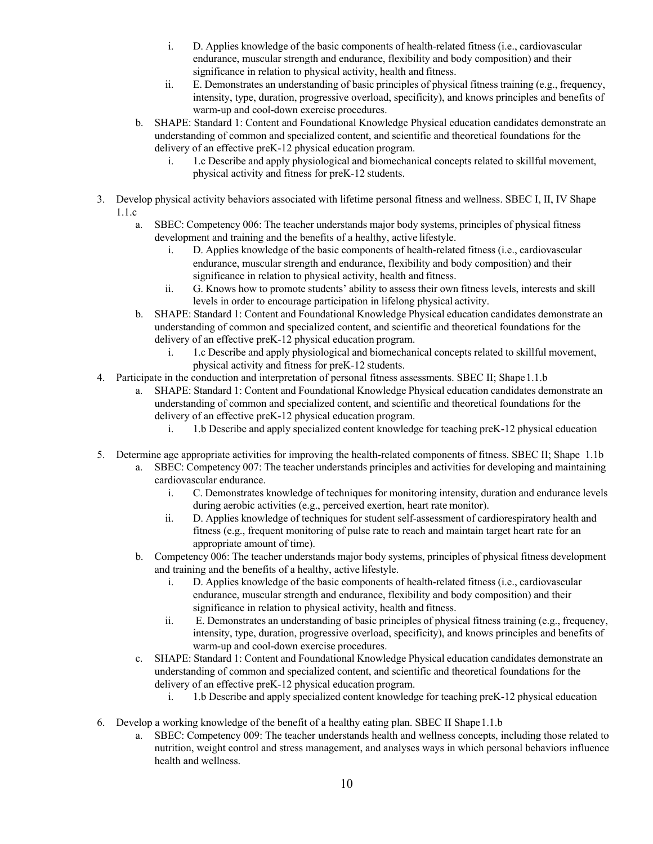- i. D. Applies knowledge of the basic components of health-related fitness (i.e., cardiovascular endurance, muscular strength and endurance, flexibility and body composition) and their significance in relation to physical activity, health and fitness.
- ii. E. Demonstrates an understanding of basic principles of physical fitness training (e.g., frequency, intensity, type, duration, progressive overload, specificity), and knows principles and benefits of warm-up and cool-down exercise procedures.
- b. SHAPE: Standard 1: Content and Foundational Knowledge Physical education candidates demonstrate an understanding of common and specialized content, and scientific and theoretical foundations for the delivery of an effective preK-12 physical education program.
	- i. 1.c Describe and apply physiological and biomechanical concepts related to skillful movement, physical activity and fitness for preK-12 students.
- 3. Develop physical activity behaviors associated with lifetime personal fitness and wellness. SBEC I, II, IV Shape 1.1.c
	- a. SBEC: Competency 006: The teacher understands major body systems, principles of physical fitness development and training and the benefits of a healthy, active lifestyle.
		- i. D. Applies knowledge of the basic components of health-related fitness (i.e., cardiovascular endurance, muscular strength and endurance, flexibility and body composition) and their significance in relation to physical activity, health and fitness.
		- ii. G. Knows how to promote students' ability to assess their own fitness levels, interests and skill levels in order to encourage participation in lifelong physical activity.
	- b. SHAPE: Standard 1: Content and Foundational Knowledge Physical education candidates demonstrate an understanding of common and specialized content, and scientific and theoretical foundations for the delivery of an effective preK-12 physical education program.
		- i. 1.c Describe and apply physiological and biomechanical concepts related to skillful movement, physical activity and fitness for preK-12 students.
- 4. Participate in the conduction and interpretation of personal fitness assessments. SBEC II; Shape1.1.b
	- a. SHAPE: Standard 1: Content and Foundational Knowledge Physical education candidates demonstrate an understanding of common and specialized content, and scientific and theoretical foundations for the delivery of an effective preK-12 physical education program.
		- i. 1.b Describe and apply specialized content knowledge for teaching preK-12 physical education
- 5. Determine age appropriate activities for improving the health-related components of fitness. SBEC II; Shape 1.1b
	- a. SBEC: Competency 007: The teacher understands principles and activities for developing and maintaining cardiovascular endurance.
		- i. C. Demonstrates knowledge of techniques for monitoring intensity, duration and endurance levels during aerobic activities (e.g., perceived exertion, heart rate monitor).
		- ii. D. Applies knowledge of techniques for student self-assessment of cardiorespiratory health and fitness (e.g., frequent monitoring of pulse rate to reach and maintain target heart rate for an appropriate amount of time).
		- b. Competency 006: The teacher understands major body systems, principles of physical fitness development and training and the benefits of a healthy, active lifestyle.
			- i. D. Applies knowledge of the basic components of health-related fitness (i.e., cardiovascular endurance, muscular strength and endurance, flexibility and body composition) and their significance in relation to physical activity, health and fitness.
			- ii. E. Demonstrates an understanding of basic principles of physical fitness training (e.g., frequency, intensity, type, duration, progressive overload, specificity), and knows principles and benefits of warm-up and cool-down exercise procedures.
		- c. SHAPE: Standard 1: Content and Foundational Knowledge Physical education candidates demonstrate an understanding of common and specialized content, and scientific and theoretical foundations for the delivery of an effective preK-12 physical education program.
			- i. 1.b Describe and apply specialized content knowledge for teaching preK-12 physical education
- 6. Develop a working knowledge of the benefit of a healthy eating plan. SBEC II Shape1.1.b
	- a. SBEC: Competency 009: The teacher understands health and wellness concepts, including those related to nutrition, weight control and stress management, and analyses ways in which personal behaviors influence health and wellness.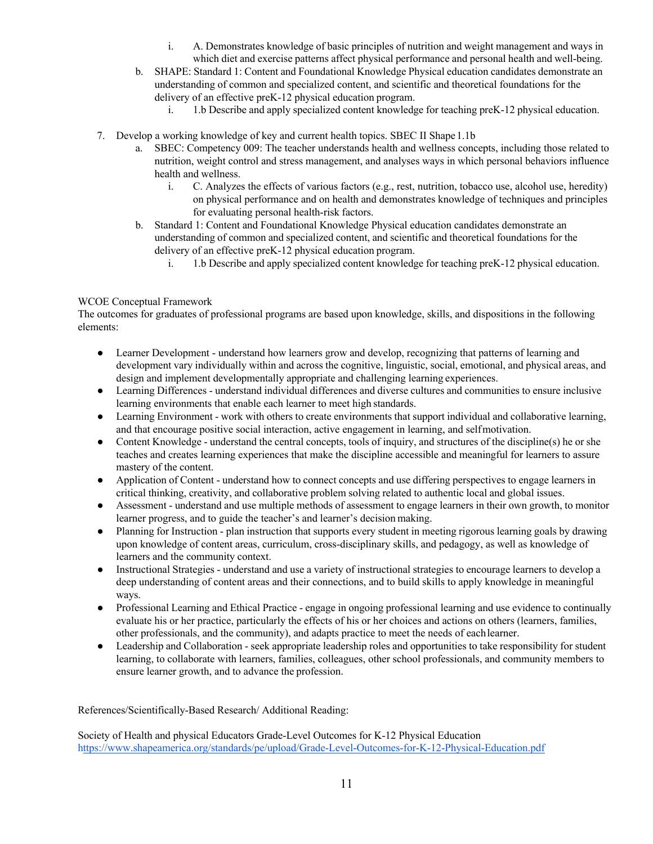- i. A. Demonstrates knowledge of basic principles of nutrition and weight management and ways in which diet and exercise patterns affect physical performance and personal health and well-being.
- b. SHAPE: Standard 1: Content and Foundational Knowledge Physical education candidates demonstrate an understanding of common and specialized content, and scientific and theoretical foundations for the delivery of an effective preK-12 physical education program.
	- i. 1.b Describe and apply specialized content knowledge for teaching preK-12 physical education.
- 7. Develop a working knowledge of key and current health topics. SBEC II Shape 1.1b
	- a. SBEC: Competency 009: The teacher understands health and wellness concepts, including those related to nutrition, weight control and stress management, and analyses ways in which personal behaviors influence health and wellness.
		- i. C. Analyzes the effects of various factors (e.g., rest, nutrition, tobacco use, alcohol use, heredity) on physical performance and on health and demonstrates knowledge of techniques and principles for evaluating personal health-risk factors.
	- b. Standard 1: Content and Foundational Knowledge Physical education candidates demonstrate an understanding of common and specialized content, and scientific and theoretical foundations for the delivery of an effective preK-12 physical education program.
		- i. 1.b Describe and apply specialized content knowledge for teaching preK-12 physical education.

## WCOE Conceptual Framework

The outcomes for graduates of professional programs are based upon knowledge, skills, and dispositions in the following elements:

- Learner Development understand how learners grow and develop, recognizing that patterns of learning and development vary individually within and across the cognitive, linguistic, social, emotional, and physical areas, and design and implement developmentally appropriate and challenging learning experiences.
- Learning Differences understand individual differences and diverse cultures and communities to ensure inclusive learning environments that enable each learner to meet high standards.
- Learning Environment work with others to create environments that support individual and collaborative learning, and that encourage positive social interaction, active engagement in learning, and selfmotivation.
- Content Knowledge understand the central concepts, tools of inquiry, and structures of the discipline(s) he or she teaches and creates learning experiences that make the discipline accessible and meaningful for learners to assure mastery of the content.
- Application of Content understand how to connect concepts and use differing perspectives to engage learners in critical thinking, creativity, and collaborative problem solving related to authentic local and global issues.
- Assessment understand and use multiple methods of assessment to engage learners in their own growth, to monitor learner progress, and to guide the teacher's and learner's decision making.
- Planning for Instruction plan instruction that supports every student in meeting rigorous learning goals by drawing upon knowledge of content areas, curriculum, cross-disciplinary skills, and pedagogy, as well as knowledge of learners and the community context.
- Instructional Strategies understand and use a variety of instructional strategies to encourage learners to develop a deep understanding of content areas and their connections, and to build skills to apply knowledge in meaningful ways.
- Professional Learning and Ethical Practice engage in ongoing professional learning and use evidence to continually evaluate his or her practice, particularly the effects of his or her choices and actions on others (learners, families, other professionals, and the community), and adapts practice to meet the needs of eachlearner.
- Leadership and Collaboration seek appropriate leadership roles and opportunities to take responsibility for student learning, to collaborate with learners, families, colleagues, other school professionals, and community members to ensure learner growth, and to advance the profession.

References/Scientifically-Based Research/ Additional Reading:

Society of Health and physical Educators Grade-Level Outcomes for K-12 Physical Education https://www.shapeamerica.org/standards/pe/upload/Grade-Level-Outcomes-for-K-12-Physical-Education.pdf